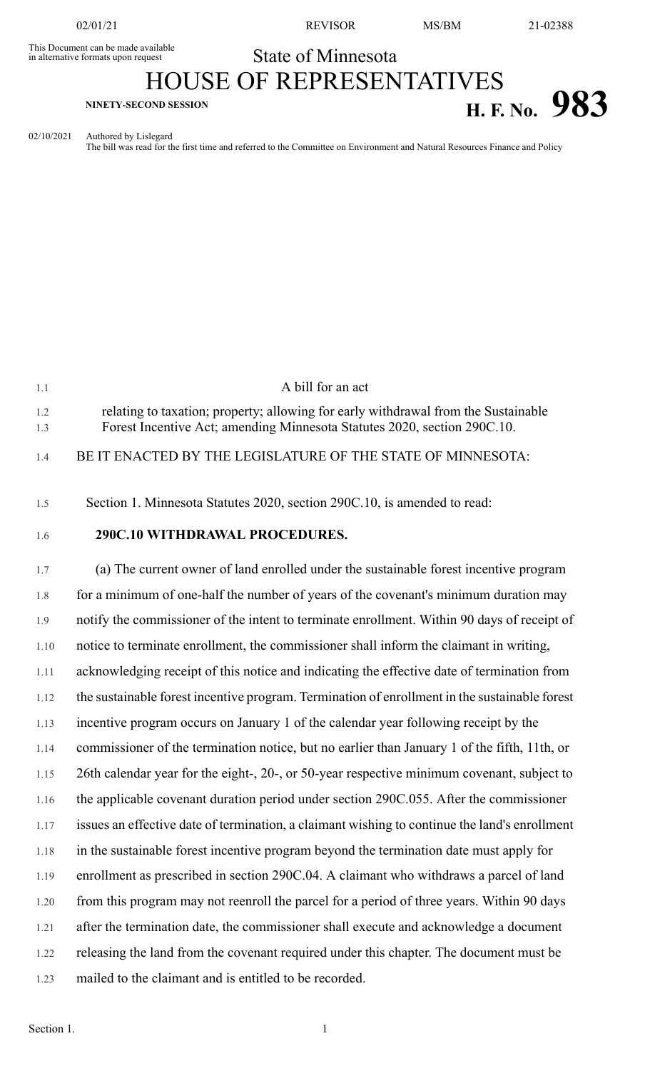This Document can be made available<br>in alternative formats upon request

02/01/21 REVISOR MS/BM 21-02388

## State of Minnesota HOUSE OF REPRESENTATIVES

## **H. F. No. 983**

1.1 A bill for an act

02/10/2021 Authored by Lislegard The bill was read for the first time and referred to the Committee on Environment and Natural Resources Finance and Policy

| 1.2<br>1.3 | relating to taxation; property; allowing for early withdrawal from the Sustainable<br>Forest Incentive Act; amending Minnesota Statutes 2020, section 290C.10. |
|------------|----------------------------------------------------------------------------------------------------------------------------------------------------------------|
| 1.4        | BE IT ENACTED BY THE LEGISLATURE OF THE STATE OF MINNESOTA:                                                                                                    |
| 1.5        | Section 1. Minnesota Statutes 2020, section 290C.10, is amended to read:                                                                                       |
| 1.6        | 290C.10 WITHDRAWAL PROCEDURES.                                                                                                                                 |
| 1.7        | (a) The current owner of land enrolled under the sustainable forest incentive program                                                                          |
| 1.8        | for a minimum of one-half the number of years of the covenant's minimum duration may                                                                           |
| 1.9        | notify the commissioner of the intent to terminate enrollment. Within 90 days of receipt of                                                                    |
| 1.10       | notice to terminate enrollment, the commissioner shall inform the claimant in writing,                                                                         |
| 1.11       | acknowledging receipt of this notice and indicating the effective date of termination from                                                                     |
| 1.12       | the sustainable forest incentive program. Termination of enrollment in the sustainable forest                                                                  |
| 1.13       | incentive program occurs on January 1 of the calendar year following receipt by the                                                                            |
| 1.14       | commissioner of the termination notice, but no earlier than January 1 of the fifth, 11th, or                                                                   |
| 1.15       | 26th calendar year for the eight-, 20-, or 50-year respective minimum covenant, subject to                                                                     |
| 1.16       | the applicable covenant duration period under section 290C.055. After the commissioner                                                                         |
| 1.17       | issues an effective date of termination, a claimant wishing to continue the land's enrollment                                                                  |
| 1.18       | in the sustainable forest incentive program beyond the termination date must apply for                                                                         |
| 1.19       | enrollment as prescribed in section 290C.04. A claimant who withdraws a parcel of land                                                                         |
| 1.20       | from this program may not reenroll the parcel for a period of three years. Within 90 days                                                                      |
| 1.21       | after the termination date, the commissioner shall execute and acknowledge a document                                                                          |
| 1.22       | releasing the land from the covenant required under this chapter. The document must be                                                                         |
| 1.23       | mailed to the claimant and is entitled to be recorded.                                                                                                         |